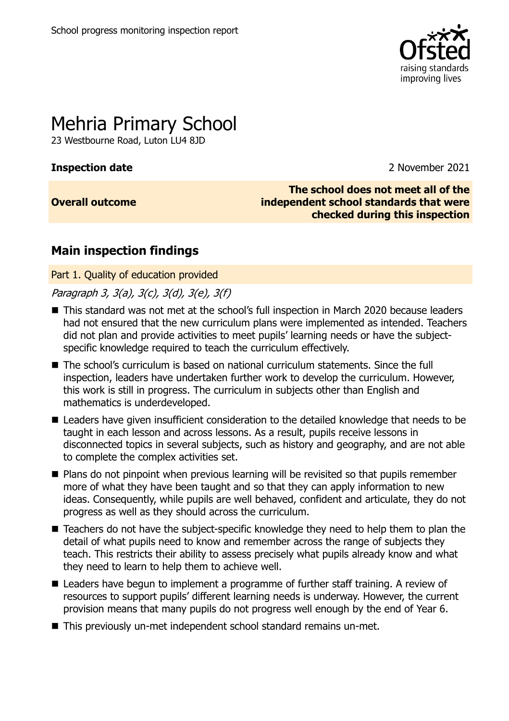

# Mehria Primary School

23 Westbourne Road, Luton LU4 8JD

**Inspection date** 2021

**Overall outcome**

**The school does not meet all of the independent school standards that were checked during this inspection**

## **Main inspection findings**

Part 1. Quality of education provided

Paragraph 3, 3(a), 3(c), 3(d), 3(e), 3(f)

- This standard was not met at the school's full inspection in March 2020 because leaders had not ensured that the new curriculum plans were implemented as intended. Teachers did not plan and provide activities to meet pupils' learning needs or have the subjectspecific knowledge required to teach the curriculum effectively.
- The school's curriculum is based on national curriculum statements. Since the full inspection, leaders have undertaken further work to develop the curriculum. However, this work is still in progress. The curriculum in subjects other than English and mathematics is underdeveloped.
- Leaders have given insufficient consideration to the detailed knowledge that needs to be taught in each lesson and across lessons. As a result, pupils receive lessons in disconnected topics in several subjects, such as history and geography, and are not able to complete the complex activities set.
- Plans do not pinpoint when previous learning will be revisited so that pupils remember more of what they have been taught and so that they can apply information to new ideas. Consequently, while pupils are well behaved, confident and articulate, they do not progress as well as they should across the curriculum.
- Teachers do not have the subject-specific knowledge they need to help them to plan the detail of what pupils need to know and remember across the range of subjects they teach. This restricts their ability to assess precisely what pupils already know and what they need to learn to help them to achieve well.
- Leaders have begun to implement a programme of further staff training. A review of resources to support pupils' different learning needs is underway. However, the current provision means that many pupils do not progress well enough by the end of Year 6.
- This previously un-met independent school standard remains un-met.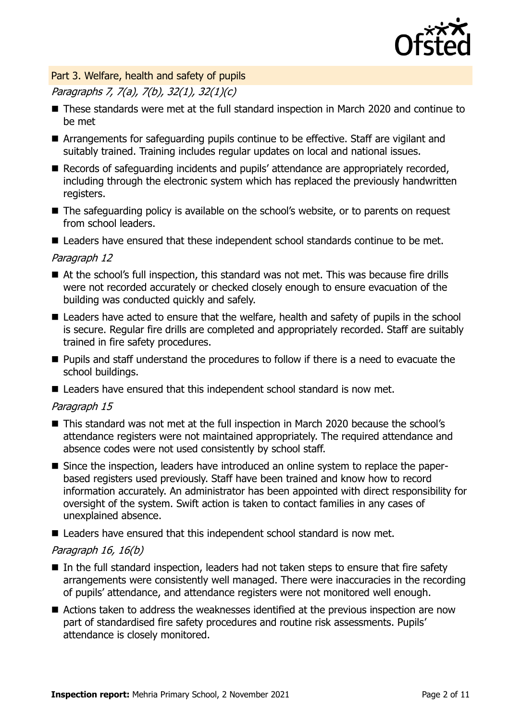

#### Part 3. Welfare, health and safety of pupils

## Paragraphs 7, 7(a), 7(b), 32(1), 32(1)(c)

- These standards were met at the full standard inspection in March 2020 and continue to be met
- Arrangements for safeguarding pupils continue to be effective. Staff are vigilant and suitably trained. Training includes regular updates on local and national issues.
- Records of safeguarding incidents and pupils' attendance are appropriately recorded, including through the electronic system which has replaced the previously handwritten registers.
- The safeguarding policy is available on the school's website, or to parents on request from school leaders.

■ Leaders have ensured that these independent school standards continue to be met.

#### Paragraph 12

- At the school's full inspection, this standard was not met. This was because fire drills were not recorded accurately or checked closely enough to ensure evacuation of the building was conducted quickly and safely.
- Leaders have acted to ensure that the welfare, health and safety of pupils in the school is secure. Regular fire drills are completed and appropriately recorded. Staff are suitably trained in fire safety procedures.
- **Pupils and staff understand the procedures to follow if there is a need to evacuate the** school buildings.
- Leaders have ensured that this independent school standard is now met.

#### Paragraph 15

- This standard was not met at the full inspection in March 2020 because the school's attendance registers were not maintained appropriately. The required attendance and absence codes were not used consistently by school staff.
- Since the inspection, leaders have introduced an online system to replace the paperbased registers used previously. Staff have been trained and know how to record information accurately. An administrator has been appointed with direct responsibility for oversight of the system. Swift action is taken to contact families in any cases of unexplained absence.
- Leaders have ensured that this independent school standard is now met.

#### Paragraph 16, 16(b)

- In the full standard inspection, leaders had not taken steps to ensure that fire safety arrangements were consistently well managed. There were inaccuracies in the recording of pupils' attendance, and attendance registers were not monitored well enough.
- Actions taken to address the weaknesses identified at the previous inspection are now part of standardised fire safety procedures and routine risk assessments. Pupils' attendance is closely monitored.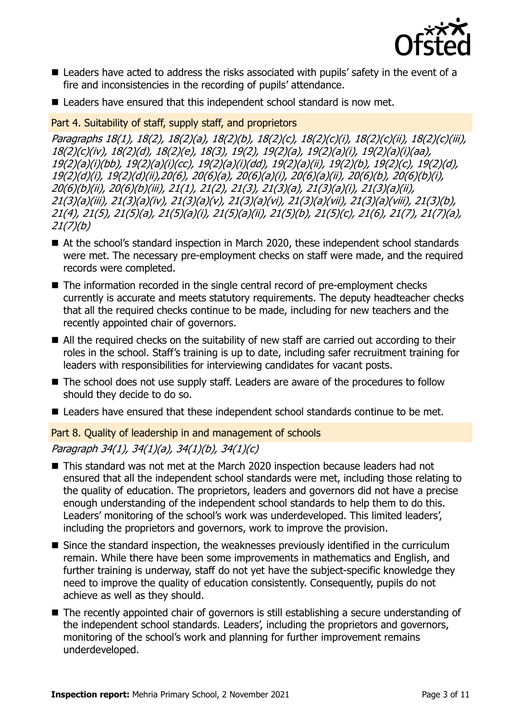

- Leaders have acted to address the risks associated with pupils' safety in the event of a fire and inconsistencies in the recording of pupils' attendance.
- Leaders have ensured that this independent school standard is now met.

#### Part 4. Suitability of staff, supply staff, and proprietors

Paragraphs 18(1), 18(2), 18(2)(a), 18(2)(b), 18(2)(c), 18(2)(c)(i), 18(2)(c)(ii), 18(2)(c)(iii), 18(2)(c)(iv), 18(2)(d), 18(2)(e), 18(3), 19(2), 19(2)(a), 19(2)(a)(i), 19(2)(a)(i)(aa), 19(2)(a)(i)(bb), 19(2)(a)(i)(cc), 19(2)(a)(i)(dd), 19(2)(a)(ii), 19(2)(b), 19(2)(c), 19(2)(d), 19(2)(d)(i), 19(2)(d)(ii),20(6), 20(6)(a), 20(6)(a)(i), 20(6)(a)(ii), 20(6)(b), 20(6)(b)(i), 20(6)(b)(ii), 20(6)(b)(iii), 21(1), 21(2), 21(3), 21(3)(a), 21(3)(a)(i), 21(3)(a)(ii), 21(3)(a)(iii), 21(3)(a)(iv), 21(3)(a)(v), 21(3)(a)(vi), 21(3)(a)(vii), 21(3)(a)(viii), 21(3)(b), 21(4), 21(5), 21(5)(a), 21(5)(a)(i), 21(5)(a)(ii), 21(5)(b), 21(5)(c), 21(6), 21(7), 21(7)(a), 21(7)(b)

- At the school's standard inspection in March 2020, these independent school standards were met. The necessary pre-employment checks on staff were made, and the required records were completed.
- The information recorded in the single central record of pre-employment checks currently is accurate and meets statutory requirements. The deputy headteacher checks that all the required checks continue to be made, including for new teachers and the recently appointed chair of governors.
- All the required checks on the suitability of new staff are carried out according to their roles in the school. Staff's training is up to date, including safer recruitment training for leaders with responsibilities for interviewing candidates for vacant posts.
- The school does not use supply staff. Leaders are aware of the procedures to follow should they decide to do so.
- Leaders have ensured that these independent school standards continue to be met.

#### Part 8. Quality of leadership in and management of schools

### Paragraph 34(1), 34(1)(a), 34(1)(b), 34(1)(c)

- This standard was not met at the March 2020 inspection because leaders had not ensured that all the independent school standards were met, including those relating to the quality of education. The proprietors, leaders and governors did not have a precise enough understanding of the independent school standards to help them to do this. Leaders' monitoring of the school's work was underdeveloped. This limited leaders', including the proprietors and governors, work to improve the provision.
- Since the standard inspection, the weaknesses previously identified in the curriculum remain. While there have been some improvements in mathematics and English, and further training is underway, staff do not yet have the subject-specific knowledge they need to improve the quality of education consistently. Consequently, pupils do not achieve as well as they should.
- The recently appointed chair of governors is still establishing a secure understanding of the independent school standards. Leaders', including the proprietors and governors, monitoring of the school's work and planning for further improvement remains underdeveloped.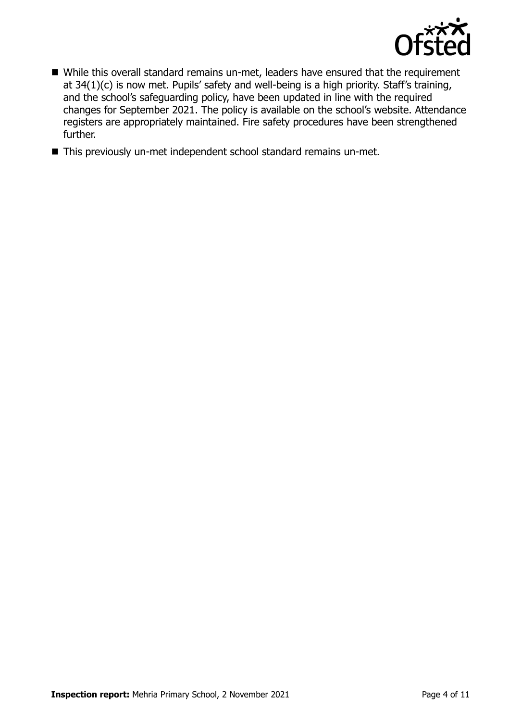

- While this overall standard remains un-met, leaders have ensured that the requirement at 34(1)(c) is now met. Pupils' safety and well-being is a high priority. Staff's training, and the school's safeguarding policy, have been updated in line with the required changes for September 2021. The policy is available on the school's website. Attendance registers are appropriately maintained. Fire safety procedures have been strengthened further.
- This previously un-met independent school standard remains un-met.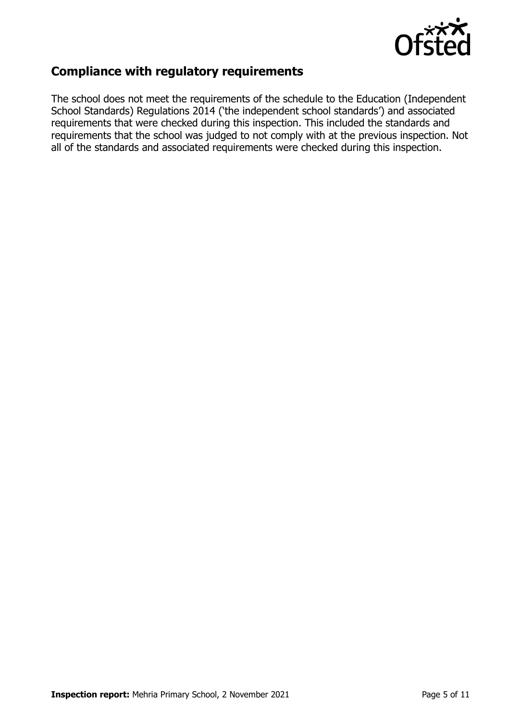

## **Compliance with regulatory requirements**

The school does not meet the requirements of the schedule to the Education (Independent School Standards) Regulations 2014 ('the independent school standards') and associated requirements that were checked during this inspection. This included the standards and requirements that the school was judged to not comply with at the previous inspection. Not all of the standards and associated requirements were checked during this inspection.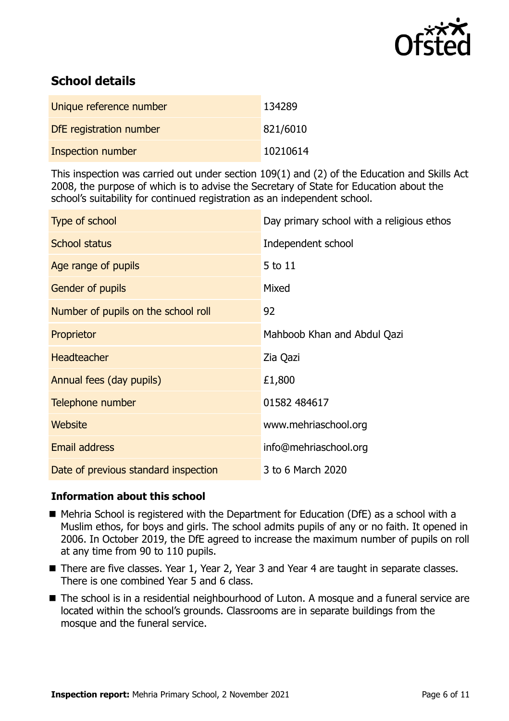

## **School details**

| Unique reference number  | 134289   |
|--------------------------|----------|
| DfE registration number  | 821/6010 |
| <b>Inspection number</b> | 10210614 |

This inspection was carried out under section 109(1) and (2) of the Education and Skills Act 2008, the purpose of which is to advise the Secretary of State for Education about the school's suitability for continued registration as an independent school.

| Type of school                       | Day primary school with a religious ethos |
|--------------------------------------|-------------------------------------------|
| School status                        | Independent school                        |
| Age range of pupils                  | 5 to 11                                   |
| Gender of pupils                     | Mixed                                     |
| Number of pupils on the school roll  | 92                                        |
| Proprietor                           | Mahboob Khan and Abdul Qazi               |
| <b>Headteacher</b>                   | Zia Qazi                                  |
| Annual fees (day pupils)             | £1,800                                    |
| Telephone number                     | 01582 484617                              |
| Website                              | www.mehriaschool.org                      |
| <b>Email address</b>                 | info@mehriaschool.org                     |
| Date of previous standard inspection | 3 to 6 March 2020                         |

### **Information about this school**

- Mehria School is registered with the Department for Education (DfE) as a school with a Muslim ethos, for boys and girls. The school admits pupils of any or no faith. It opened in 2006. In October 2019, the DfE agreed to increase the maximum number of pupils on roll at any time from 90 to 110 pupils.
- There are five classes. Year 1, Year 2, Year 3 and Year 4 are taught in separate classes. There is one combined Year 5 and 6 class.
- The school is in a residential neighbourhood of Luton. A mosque and a funeral service are located within the school's grounds. Classrooms are in separate buildings from the mosque and the funeral service.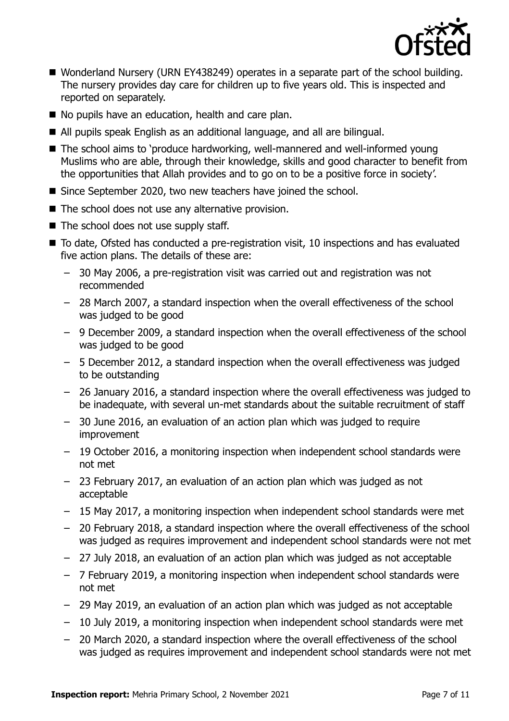

- Wonderland Nursery (URN EY438249) operates in a separate part of the school building. The nursery provides day care for children up to five years old. This is inspected and reported on separately.
- No pupils have an education, health and care plan.
- All pupils speak English as an additional language, and all are bilingual.
- The school aims to 'produce hardworking, well-mannered and well-informed young Muslims who are able, through their knowledge, skills and good character to benefit from the opportunities that Allah provides and to go on to be a positive force in society'.
- Since September 2020, two new teachers have joined the school.
- $\blacksquare$  The school does not use any alternative provision.
- The school does not use supply staff.
- To date, Ofsted has conducted a pre-registration visit, 10 inspections and has evaluated five action plans. The details of these are:
	- 30 May 2006, a pre-registration visit was carried out and registration was not recommended
	- 28 March 2007, a standard inspection when the overall effectiveness of the school was judged to be good
	- 9 December 2009, a standard inspection when the overall effectiveness of the school was judged to be good
	- 5 December 2012, a standard inspection when the overall effectiveness was judged to be outstanding
	- 26 January 2016, a standard inspection where the overall effectiveness was judged to be inadequate, with several un-met standards about the suitable recruitment of staff
	- 30 June 2016, an evaluation of an action plan which was judged to require improvement
	- 19 October 2016, a monitoring inspection when independent school standards were not met
	- 23 February 2017, an evaluation of an action plan which was judged as not acceptable
	- 15 May 2017, a monitoring inspection when independent school standards were met
	- 20 February 2018, a standard inspection where the overall effectiveness of the school was judged as requires improvement and independent school standards were not met
	- 27 July 2018, an evaluation of an action plan which was judged as not acceptable
	- 7 February 2019, a monitoring inspection when independent school standards were not met
	- 29 May 2019, an evaluation of an action plan which was judged as not acceptable
	- 10 July 2019, a monitoring inspection when independent school standards were met
	- 20 March 2020, a standard inspection where the overall effectiveness of the school was judged as requires improvement and independent school standards were not met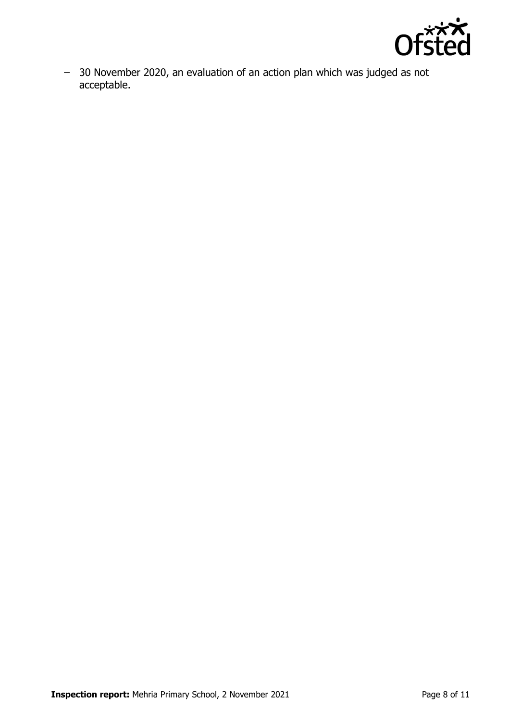

– 30 November 2020, an evaluation of an action plan which was judged as not acceptable.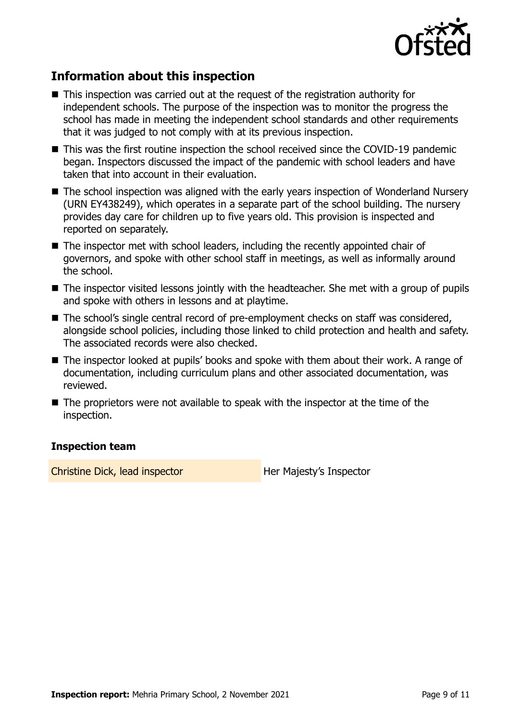

## **Information about this inspection**

- This inspection was carried out at the request of the registration authority for independent schools. The purpose of the inspection was to monitor the progress the school has made in meeting the independent school standards and other requirements that it was judged to not comply with at its previous inspection.
- This was the first routine inspection the school received since the COVID-19 pandemic began. Inspectors discussed the impact of the pandemic with school leaders and have taken that into account in their evaluation.
- The school inspection was aligned with the early years inspection of Wonderland Nursery (URN EY438249), which operates in a separate part of the school building. The nursery provides day care for children up to five years old. This provision is inspected and reported on separately.
- The inspector met with school leaders, including the recently appointed chair of governors, and spoke with other school staff in meetings, as well as informally around the school.
- The inspector visited lessons jointly with the headteacher. She met with a group of pupils and spoke with others in lessons and at playtime.
- The school's single central record of pre-employment checks on staff was considered, alongside school policies, including those linked to child protection and health and safety. The associated records were also checked.
- The inspector looked at pupils' books and spoke with them about their work. A range of documentation, including curriculum plans and other associated documentation, was reviewed.
- $\blacksquare$  The proprietors were not available to speak with the inspector at the time of the inspection.

#### **Inspection team**

Christine Dick, lead inspector **Her Majesty's Inspector**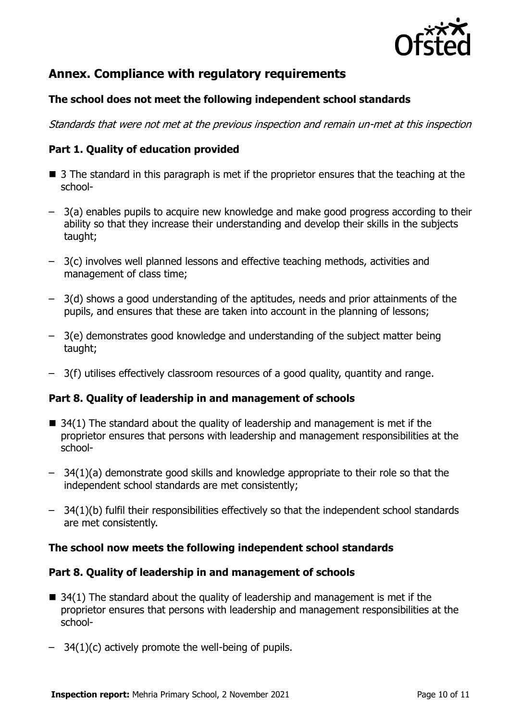

## **Annex. Compliance with regulatory requirements**

#### **The school does not meet the following independent school standards**

Standards that were not met at the previous inspection and remain un-met at this inspection

#### **Part 1. Quality of education provided**

- 3 The standard in this paragraph is met if the proprietor ensures that the teaching at the school-
- 3(a) enables pupils to acquire new knowledge and make good progress according to their ability so that they increase their understanding and develop their skills in the subjects taught;
- 3(c) involves well planned lessons and effective teaching methods, activities and management of class time;
- 3(d) shows a good understanding of the aptitudes, needs and prior attainments of the pupils, and ensures that these are taken into account in the planning of lessons;
- 3(e) demonstrates good knowledge and understanding of the subject matter being taught;
- 3(f) utilises effectively classroom resources of a good quality, quantity and range.

#### **Part 8. Quality of leadership in and management of schools**

- $\blacksquare$  34(1) The standard about the quality of leadership and management is met if the proprietor ensures that persons with leadership and management responsibilities at the school-
- 34(1)(a) demonstrate good skills and knowledge appropriate to their role so that the independent school standards are met consistently;
- 34(1)(b) fulfil their responsibilities effectively so that the independent school standards are met consistently.

#### **The school now meets the following independent school standards**

#### **Part 8. Quality of leadership in and management of schools**

- $\blacksquare$  34(1) The standard about the quality of leadership and management is met if the proprietor ensures that persons with leadership and management responsibilities at the school-
- 34(1)(c) actively promote the well-being of pupils.